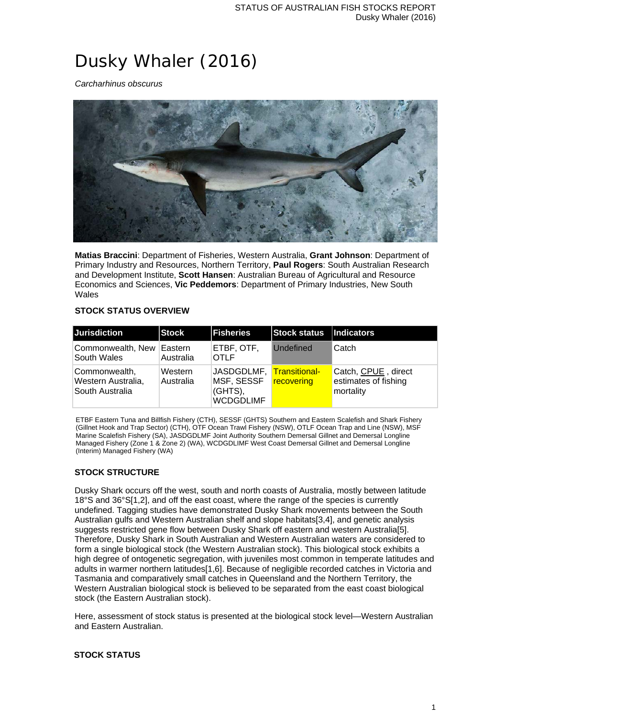# Dusky Whaler (2016)

*Carcharhinus obscurus*



**Matias Braccini**: Department of Fisheries, Western Australia, **Grant Johnson**: Department of Primary Industry and Resources, Northern Territory, **Paul Rogers**: South Australian Research and Development Institute, **Scott Hansen**: Australian Bureau of Agricultural and Resource Economics and Sciences, **Vic Peddemors**: Department of Primary Industries, New South Wales

## **STOCK STATUS OVERVIEW**

| Jurisdiction                                                  | Stock                 | <b>Fisheries</b>                                        | <b>Stock status</b>                | <b>Indicators</b>                                        |
|---------------------------------------------------------------|-----------------------|---------------------------------------------------------|------------------------------------|----------------------------------------------------------|
| Commonwealth, New<br>South Wales                              | ⊥Eastern<br>Australia | ETBF, OTF,<br><b>OTLF</b>                               | <b>Undefined</b>                   | Catch                                                    |
| Commonwealth,<br><b>Western Australia,</b><br>South Australia | Western<br>Australia  | JASDGDLMF,<br>MSF, SESSF<br>(GHTS),<br><b>WCDGDLIMF</b> | <b>Transitional-</b><br>recovering | Catch, CPUE, direct<br>estimates of fishing<br>mortality |

ETBF Eastern Tuna and Billfish Fishery (CTH), SESSF (GHTS) Southern and Eastern Scalefish and Shark Fishery (Gillnet Hook and Trap Sector) (CTH), OTF Ocean Trawl Fishery (NSW), OTLF Ocean Trap and Line (NSW), MSF Marine Scalefish Fishery (SA), JASDGDLMF Joint Authority Southern Demersal Gillnet and Demersal Longline Managed Fishery (Zone 1 & Zone 2) (WA), WCDGDLIMF West Coast Demersal Gillnet and Demersal Longline (Interim) Managed Fishery (WA)

## **STOCK STRUCTURE**

Dusky Shark occurs off the west, south and north coasts of Australia, mostly between latitude 18°S and 36°S[1,2], and off the east coast, where the range of the species is currently undefined. Tagging studies have demonstrated Dusky Shark movements between the South Australian gulfs and Western Australian shelf and slope habitats[3,4], and genetic analysis suggests restricted gene flow between Dusky Shark off eastern and western Australia[5]. Therefore, Dusky Shark in South Australian and Western Australian waters are considered to form a single biological stock (the Western Australian stock). This biological stock exhibits a high degree of ontogenetic segregation, with juveniles most common in temperate latitudes and adults in warmer northern latitudes[1,6]. Because of negligible recorded catches in Victoria and Tasmania and comparatively small catches in Queensland and the Northern Territory, the Western Australian biological stock is believed to be separated from the east coast biological stock (the Eastern Australian stock).

Here, assessment of stock status is presented at the biological stock level—Western Australian and Eastern Australian.

## **STOCK STATUS**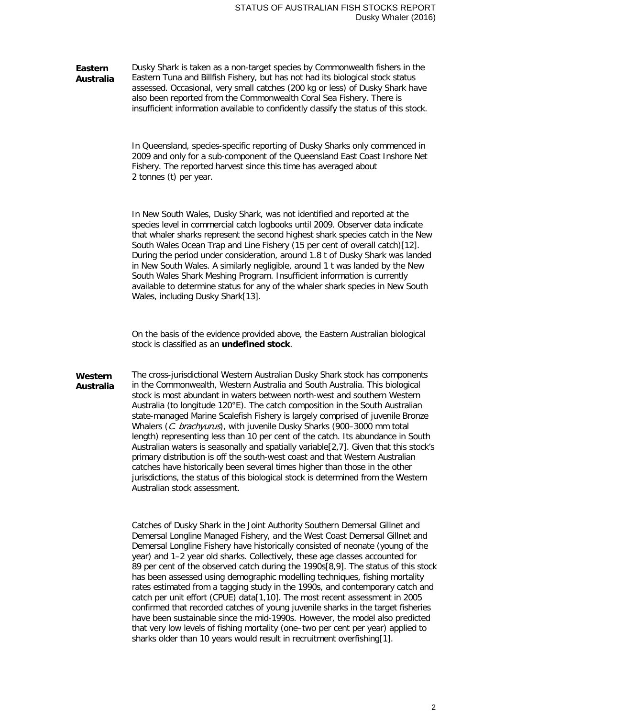**Eastern Australia** Dusky Shark is taken as a non-target species by Commonwealth fishers in the Eastern Tuna and Billfish Fishery, but has not had its biological stock status assessed. Occasional, very small catches (200 kg or less) of Dusky Shark have also been reported from the Commonwealth Coral Sea Fishery. There is insufficient information available to confidently classify the status of this stock.

> In Queensland, species-specific reporting of Dusky Sharks only commenced in 2009 and only for a sub-component of the Queensland East Coast Inshore Net Fishery. The reported harvest since this time has averaged about 2 tonnes (t) per year.

In New South Wales, Dusky Shark, was not identified and reported at the species level in commercial catch logbooks until 2009. Observer data indicate that whaler sharks represent the second highest shark species catch in the New South Wales Ocean Trap and Line Fishery (15 per cent of overall catch)[12]. During the period under consideration, around 1.8 t of Dusky Shark was landed in New South Wales. A similarly negligible, around 1 t was landed by the New South Wales Shark Meshing Program. Insufficient information is currently available to determine status for any of the whaler shark species in New South Wales, including Dusky Shark[13].

On the basis of the evidence provided above, the Eastern Australian biological stock is classified as an **undefined stock**.

**Western Australia** The cross-jurisdictional Western Australian Dusky Shark stock has components in the Commonwealth, Western Australia and South Australia. This biological stock is most abundant in waters between north-west and southern Western Australia (to longitude 120°E). The catch composition in the South Australian state-managed Marine Scalefish Fishery is largely comprised of juvenile Bronze Whalers (C. brachyurus), with juvenile Dusky Sharks (900–3000 mm total length) representing less than 10 per cent of the catch. Its abundance in South Australian waters is seasonally and spatially variable[2,7]. Given that this stock's primary distribution is off the south-west coast and that Western Australian catches have historically been several times higher than those in the other jurisdictions, the status of this biological stock is determined from the Western Australian stock assessment.

> Catches of Dusky Shark in the Joint Authority Southern Demersal Gillnet and Demersal Longline Managed Fishery, and the West Coast Demersal Gillnet and Demersal Longline Fishery have historically consisted of neonate (young of the year) and 1–2 year old sharks. Collectively, these age classes accounted for 89 per cent of the observed catch during the 1990s[8,9]. The status of this stock has been assessed using demographic modelling techniques, fishing mortality rates estimated from a tagging study in the 1990s, and contemporary catch and catch per unit effort (CPUE) data[1,10]. The most recent assessment in 2005 confirmed that recorded catches of young juvenile sharks in the target fisheries have been sustainable since the mid-1990s. However, the model also predicted that very low levels of fishing mortality (one–two per cent per year) applied to sharks older than 10 years would result in recruitment overfishing[1].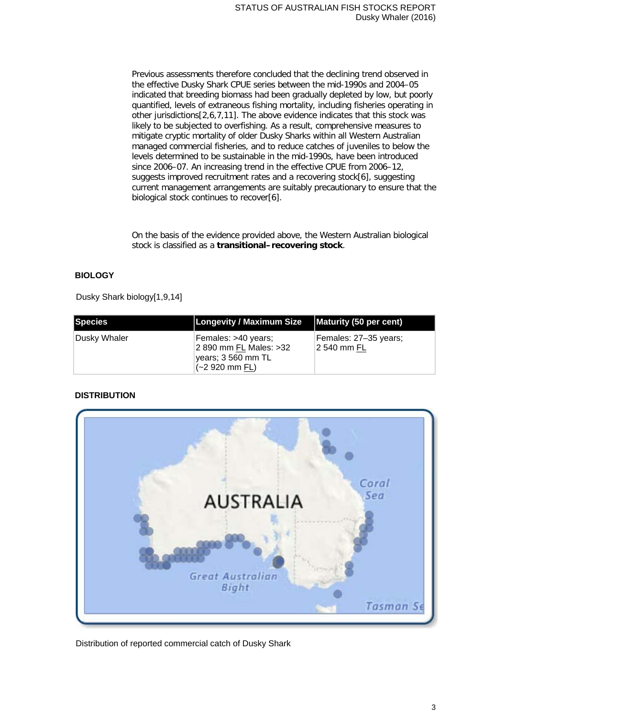Previous assessments therefore concluded that the declining trend observed in the effective Dusky Shark CPUE series between the mid-1990s and 2004–05 indicated that breeding biomass had been gradually depleted by low, but poorly quantified, levels of extraneous fishing mortality, including fisheries operating in other jurisdictions[2,6,7,11]. The above evidence indicates that this stock was likely to be subjected to overfishing. As a result, comprehensive measures to mitigate cryptic mortality of older Dusky Sharks within all Western Australian managed commercial fisheries, and to reduce catches of juveniles to below the levels determined to be sustainable in the mid-1990s, have been introduced since 2006–07. An increasing trend in the effective CPUE from 2006–12, suggests improved recruitment rates and a recovering stock[6], suggesting current management arrangements are suitably precautionary to ensure that the biological stock continues to recover[6].

On the basis of the evidence provided above, the Western Australian biological stock is classified as a **transitional–recovering stock**.

## **BIOLOGY**

Dusky Shark biology[1,9,14]

| Species       | <b>Longevity / Maximum Size</b>                                                                        | Maturity (50 per cent)               |
|---------------|--------------------------------------------------------------------------------------------------------|--------------------------------------|
| ∣Dusky Whaler | Females: >40 years;<br>2 890 mm FL Males: >32<br>years; 3 560 mm TL<br>$(-2920 \text{ mm} \text{ FL})$ | Females: 27–35 years;<br>2 540 mm FL |

## **DISTRIBUTION**



Distribution of reported commercial catch of Dusky Shark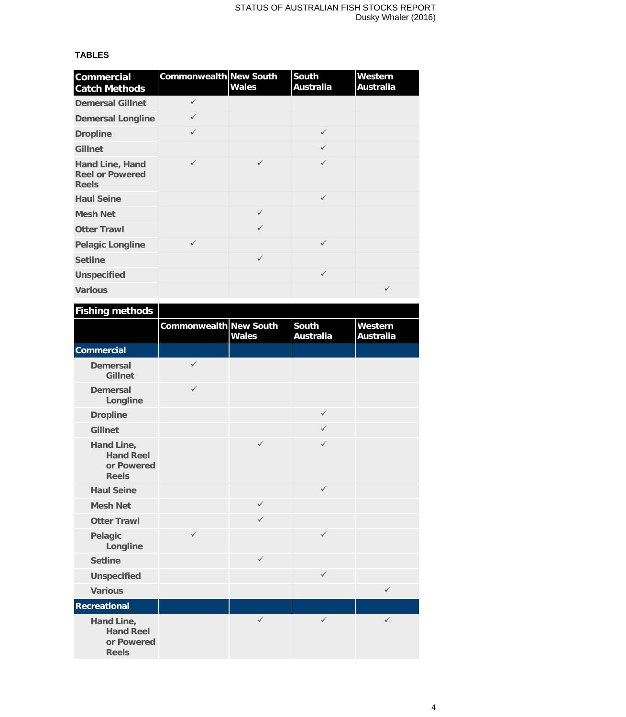# **TABLES**

| <b>Commercial</b><br><b>Catch Methods</b>                        | <b>Commonwealth New South</b> | <b>Wales</b> | <b>South</b><br><b>Australia</b> | Western<br><b>Australia</b> |
|------------------------------------------------------------------|-------------------------------|--------------|----------------------------------|-----------------------------|
| <b>Demersal Gillnet</b>                                          |                               |              |                                  |                             |
| <b>Demersal Longline</b>                                         | $\checkmark$                  |              |                                  |                             |
| <b>Dropline</b>                                                  | $\checkmark$                  |              | $\checkmark$                     |                             |
| <b>Gillnet</b>                                                   |                               |              | $\checkmark$                     |                             |
| <b>Hand Line, Hand</b><br><b>Reel or Powered</b><br><b>Reels</b> | $\checkmark$                  | $\checkmark$ | ✓                                |                             |
| <b>Haul Seine</b>                                                |                               |              | $\checkmark$                     |                             |
| <b>Mesh Net</b>                                                  |                               | $\checkmark$ |                                  |                             |
| <b>Otter Trawl</b>                                               |                               | $\checkmark$ |                                  |                             |
| <b>Pelagic Longline</b>                                          | $\checkmark$                  |              | $\checkmark$                     |                             |
| <b>Setline</b>                                                   |                               | $\checkmark$ |                                  |                             |
| <b>Unspecified</b>                                               |                               |              | $\checkmark$                     |                             |
| <b>Various</b>                                                   |                               |              |                                  | $\checkmark$                |

| <b>Fishing methods</b>                                       |                               |              |                                  |                             |
|--------------------------------------------------------------|-------------------------------|--------------|----------------------------------|-----------------------------|
|                                                              | <b>Commonwealth New South</b> | <b>Wales</b> | <b>South</b><br><b>Australia</b> | Western<br><b>Australia</b> |
| <b>Commercial</b>                                            |                               |              |                                  |                             |
| <b>Demersal</b><br><b>Gillnet</b>                            | $\checkmark$                  |              |                                  |                             |
| <b>Demersal</b><br>Longline                                  | $\checkmark$                  |              |                                  |                             |
| <b>Dropline</b>                                              |                               |              | $\checkmark$                     |                             |
| <b>Gillnet</b>                                               |                               |              | $\checkmark$                     |                             |
| Hand Line,<br><b>Hand Reel</b><br>or Powered<br><b>Reels</b> |                               | $\checkmark$ | $\checkmark$                     |                             |
| <b>Haul Seine</b>                                            |                               |              | $\checkmark$                     |                             |
| <b>Mesh Net</b>                                              |                               | $\checkmark$ |                                  |                             |
| <b>Otter Trawl</b>                                           |                               | $\checkmark$ |                                  |                             |
| Pelagic<br>Longline                                          | $\checkmark$                  |              | $\checkmark$                     |                             |
| <b>Setline</b>                                               |                               | $\checkmark$ |                                  |                             |
| <b>Unspecified</b>                                           |                               |              | $\checkmark$                     |                             |
| <b>Various</b>                                               |                               |              |                                  | $\checkmark$                |
| Recreational                                                 |                               |              |                                  |                             |
| Hand Line,<br><b>Hand Reel</b><br>or Powered<br><b>Reels</b> |                               | $\checkmark$ | $\checkmark$                     | $\checkmark$                |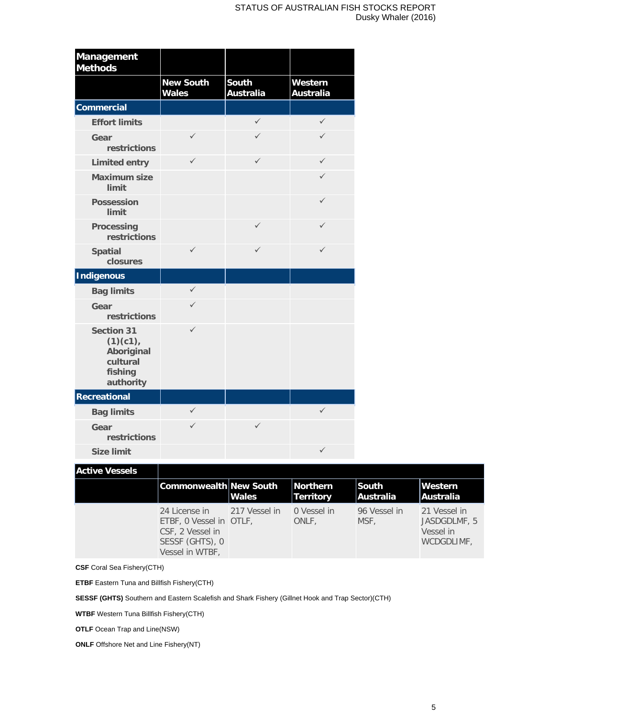| Management<br><b>Methods</b>                                                    |                                  |                                  |                             |
|---------------------------------------------------------------------------------|----------------------------------|----------------------------------|-----------------------------|
|                                                                                 | <b>New South</b><br><b>Wales</b> | <b>South</b><br><b>Australia</b> | Western<br><b>Australia</b> |
| <b>Commercial</b>                                                               |                                  |                                  |                             |
| <b>Effort limits</b>                                                            |                                  | $\checkmark$                     | $\checkmark$                |
| Gear<br>restrictions                                                            | $\checkmark$                     | $\checkmark$                     | $\checkmark$                |
| <b>Limited entry</b>                                                            | $\checkmark$                     | $\checkmark$                     | $\checkmark$                |
| <b>Maximum size</b><br>limit                                                    |                                  |                                  | $\checkmark$                |
| <b>Possession</b><br>limit                                                      |                                  |                                  | $\checkmark$                |
| <b>Processing</b><br>restrictions                                               |                                  | $\checkmark$                     | $\checkmark$                |
| <b>Spatial</b><br>closures                                                      | $\checkmark$                     | $\checkmark$                     | $\checkmark$                |
| <b>Indigenous</b>                                                               |                                  |                                  |                             |
| <b>Bag limits</b>                                                               | $\checkmark$                     |                                  |                             |
| Gear<br>restrictions                                                            | $\checkmark$                     |                                  |                             |
| <b>Section 31</b><br>(1)(c1),<br>Aboriginal<br>cultural<br>fishing<br>authority | $\checkmark$                     |                                  |                             |
| Recreational                                                                    |                                  |                                  |                             |
| <b>Bag limits</b>                                                               | $\checkmark$                     |                                  | $\checkmark$                |
| Gear<br>restrictions                                                            | $\checkmark$                     | $\checkmark$                     |                             |
| <b>Size limit</b>                                                               |                                  |                                  | $\checkmark$                |

| <b>Active Vessels</b> |                                                                                                    |               |                              |                      |                                                         |
|-----------------------|----------------------------------------------------------------------------------------------------|---------------|------------------------------|----------------------|---------------------------------------------------------|
|                       | Commonwealth New South                                                                             | <b>Wales</b>  | Northern<br><b>Territory</b> | South<br>Australia   | <b>Western</b><br><b>Australia</b>                      |
|                       | 24 License in<br>ETBF, 0 Vessel in OTLF,<br>CSF, 2 Vessel in<br>SESSF (GHTS), 0<br>Vessel in WTBF, | 217 Vessel in | 0 Vessel in<br>ONLF.         | 96 Vessel in<br>MSF. | 21 Vessel in<br>JASDGDLMF, 5<br>Vessel in<br>WCDGDLIMF, |

**CSF** Coral Sea Fishery(CTH)

**ETBF** Eastern Tuna and Billfish Fishery(CTH)

**SESSF (GHTS)** Southern and Eastern Scalefish and Shark Fishery (Gillnet Hook and Trap Sector)(CTH)

**WTBF** Western Tuna Billfish Fishery(CTH)

**OTLF** Ocean Trap and Line(NSW)

**ONLF** Offshore Net and Line Fishery(NT)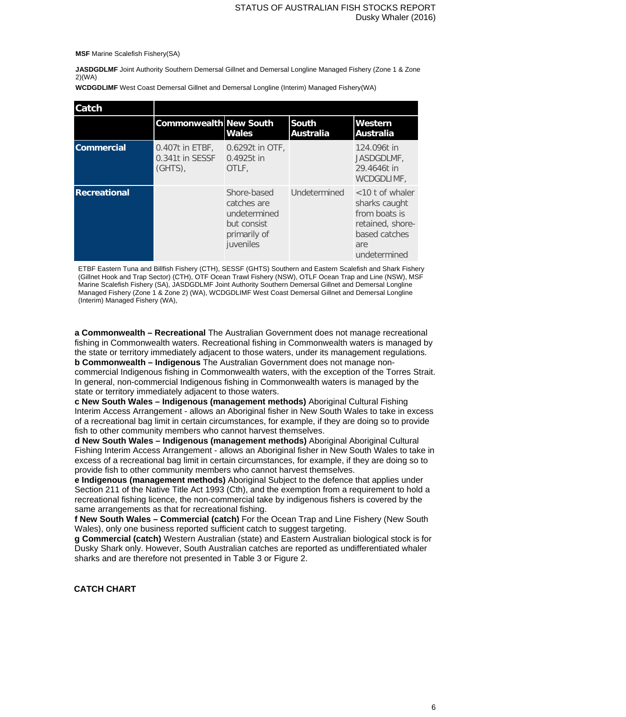**MSF** Marine Scalefish Fishery(SA)

JASDGDLMF Joint Authority Southern Demersal Gillnet and Demersal Longline Managed Fishery (Zone 1 & Zone 2)(WA)

**WCDGDLIMF** West Coast Demersal Gillnet and Demersal Longline (Interim) Managed Fishery(WA)

| <b>Catch</b>        |                                                    |                                                                                        |                                  |                                                                                                                  |
|---------------------|----------------------------------------------------|----------------------------------------------------------------------------------------|----------------------------------|------------------------------------------------------------------------------------------------------------------|
|                     | <b>Commonwealth New South</b>                      | <b>Wales</b>                                                                           | <b>South</b><br><b>Australia</b> | Western<br><b>Australia</b>                                                                                      |
| <b>Commercial</b>   | $0.407t$ in ETBF,<br>0.341t in SESSF<br>$(GHTS)$ , | 0.6292t in OTF,<br>0.4925t in<br>OTLF,                                                 |                                  | 124,096t in<br>JASDGDLMF.<br>29.4646t in<br>WCDGDLIMF.                                                           |
| <b>Recreational</b> |                                                    | Shore-based<br>catches are<br>undetermined<br>but consist<br>primarily of<br>juveniles | Undetermined                     | $<$ 10 t of whaler<br>sharks caught<br>from boats is<br>retained, shore-<br>based catches<br>are<br>undetermined |

ETBF Eastern Tuna and Billfish Fishery (CTH), SESSF (GHTS) Southern and Eastern Scalefish and Shark Fishery (Gillnet Hook and Trap Sector) (CTH), OTF Ocean Trawl Fishery (NSW), OTLF Ocean Trap and Line (NSW), MSF Marine Scalefish Fishery (SA), JASDGDLMF Joint Authority Southern Demersal Gillnet and Demersal Longline Managed Fishery (Zone 1 & Zone 2) (WA), WCDGDLIMF West Coast Demersal Gillnet and Demersal Longline (Interim) Managed Fishery (WA),

**a Commonwealth – Recreational** The Australian Government does not manage recreational fishing in Commonwealth waters. Recreational fishing in Commonwealth waters is managed by the state or territory immediately adjacent to those waters, under its management regulations. **b Commonwealth – Indigenous** The Australian Government does not manage non-

commercial Indigenous fishing in Commonwealth waters, with the exception of the Torres Strait. In general, non-commercial Indigenous fishing in Commonwealth waters is managed by the state or territory immediately adjacent to those waters.

**c New South Wales – Indigenous (management methods)** Aboriginal Cultural Fishing Interim Access Arrangement - allows an Aboriginal fisher in New South Wales to take in excess of a recreational bag limit in certain circumstances, for example, if they are doing so to provide fish to other community members who cannot harvest themselves.

**d New South Wales – Indigenous (management methods)** Aboriginal Aboriginal Cultural Fishing Interim Access Arrangement - allows an Aboriginal fisher in New South Wales to take in excess of a recreational bag limit in certain circumstances, for example, if they are doing so to provide fish to other community members who cannot harvest themselves.

**e Indigenous (management methods)** Aboriginal Subject to the defence that applies under Section 211 of the Native Title Act 1993 (Cth), and the exemption from a requirement to hold a recreational fishing licence, the non-commercial take by indigenous fishers is covered by the same arrangements as that for recreational fishing.

**f New South Wales – Commercial (catch)** For the Ocean Trap and Line Fishery (New South Wales), only one business reported sufficient catch to suggest targeting.

**g Commercial (catch)** Western Australian (state) and Eastern Australian biological stock is for Dusky Shark only. However, South Australian catches are reported as undifferentiated whaler sharks and are therefore not presented in Table 3 or Figure 2.

### **CATCH CHART**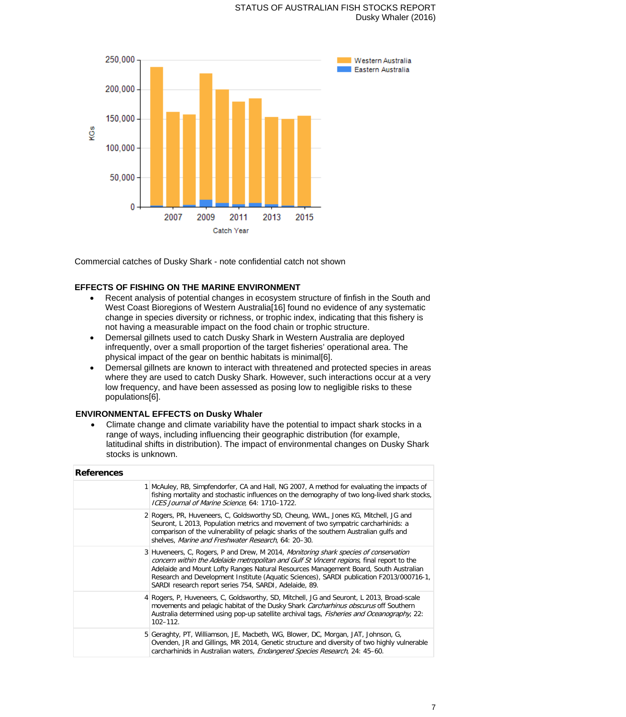

Commercial catches of Dusky Shark - note confidential catch not shown

## **EFFECTS OF FISHING ON THE MARINE ENVIRONMENT**

- Recent analysis of potential changes in ecosystem structure of finfish in the South and West Coast Bioregions of Western Australia<sup>[16]</sup> found no evidence of any systematic change in species diversity or richness, or trophic index, indicating that this fishery is not having a measurable impact on the food chain or trophic structure.
- Demersal gillnets used to catch Dusky Shark in Western Australia are deployed infrequently, over a small proportion of the target fisheries' operational area. The physical impact of the gear on benthic habitats is minimal[6].
- Demersal gillnets are known to interact with threatened and protected species in areas where they are used to catch Dusky Shark. However, such interactions occur at a very low frequency, and have been assessed as posing low to negligible risks to these populations[6].

## **ENVIRONMENTAL EFFECTS on Dusky Whaler**

• Climate change and climate variability have the potential to impact shark stocks in a range of ways, including influencing their geographic distribution (for example, latitudinal shifts in distribution). The impact of environmental changes on Dusky Shark stocks is unknown.

| <b>References</b> |                                                                                                                                                                                                                                                                                                                                                                                                                                 |
|-------------------|---------------------------------------------------------------------------------------------------------------------------------------------------------------------------------------------------------------------------------------------------------------------------------------------------------------------------------------------------------------------------------------------------------------------------------|
|                   | 1 McAuley, RB, Simpfendorfer, CA and Hall, NG 2007, A method for evaluating the impacts of<br>fishing mortality and stochastic influences on the demography of two long-lived shark stocks,<br>ICES Journal of Marine Science, 64: 1710-1722.                                                                                                                                                                                   |
|                   | 2 Rogers, PR, Huveneers, C, Goldsworthy SD, Cheung, WWL, Jones KG, Mitchell, JG and<br>Seuront, L 2013, Population metrics and movement of two sympatric carcharhinids: a<br>comparison of the vulnerability of pelagic sharks of the southern Australian gulfs and<br>shelves, Marine and Freshwater Research, 64: 20-30.                                                                                                      |
|                   | 3 Huveneers, C, Rogers, P and Drew, M 2014, Monitoring shark species of conservation<br>concern within the Adelaide metropolitan and Gulf St Vincent regions, final report to the<br>Adelaide and Mount Lofty Ranges Natural Resources Management Board, South Australian<br>Research and Development Institute (Aquatic Sciences), SARDI publication F2013/000716-1,<br>SARDI research report series 754, SARDI, Adelaide, 89. |
|                   | 4 Rogers, P, Huveneers, C, Goldsworthy, SD, Mitchell, JG and Seuront, L 2013, Broad-scale<br>movements and pelagic habitat of the Dusky Shark Carcharhinus obscurus off Southern<br>Australia determined using pop-up satellite archival tags, <i>Fisheries and Oceanography</i> , 22:<br>$102 - 112$ .                                                                                                                         |
|                   | 5 Geraghty, PT, Williamson, JE, Macbeth, WG, Blower, DC, Morgan, JAT, Johnson, G,<br>Ovenden, JR and Gillings, MR 2014, Genetic structure and diversity of two highly vulnerable<br>carcharhinids in Australian waters, <i>Endangered Species Research</i> , 24: 45–60.                                                                                                                                                         |